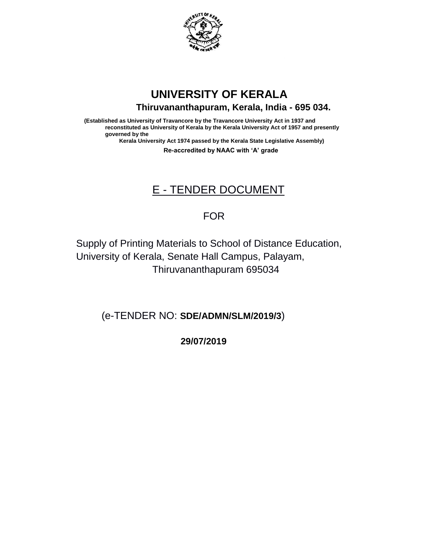

## **UNIVERSITY OF KERALA Thiruvananthapuram, Kerala, India - 695 034.**

**(Established as University of Travancore by the Travancore University Act in 1937 and reconstituted as University of Kerala by the Kerala University Act of 1957 and presently governed by the Kerala University Act 1974 passed by the Kerala State Legislative Assembly)**

**Re-accredited by NAAC with 'A' grade**

# E - TENDER DOCUMENT

### FOR

Supply of Printing Materials to School of Distance Education, University of Kerala, Senate Hall Campus, Palayam, Thiruvananthapuram 695034

(e-TENDER NO: **SDE/ADMN/SLM/2019/3**)

 **29/07/2019**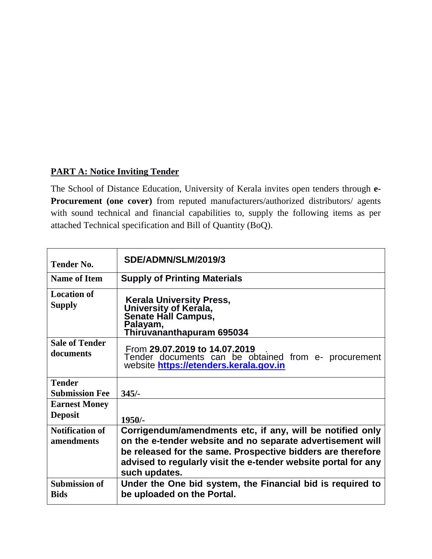### **PART A: Notice Inviting Tender**

The School of Distance Education, University of Kerala invites open tenders through **e-Procurement (one cover)** from reputed manufacturers/authorized distributors/ agents with sound technical and financial capabilities to, supply the following items as per attached Technical specification and Bill of Quantity (BoQ).

| <b>Tender No.</b>                   | SDE/ADMN/SLM/2019/3                                                                                                             |  |  |
|-------------------------------------|---------------------------------------------------------------------------------------------------------------------------------|--|--|
| <b>Name of Item</b>                 | <b>Supply of Printing Materials</b>                                                                                             |  |  |
| <b>Location of</b><br><b>Supply</b> | Kerala University Press,<br>University of Kerala,<br>Senate Hall Campus,<br>Palayam,<br>Thirúvananthapuram 695034               |  |  |
| <b>Sale of Tender</b><br>documents  | From 29.07.2019 to 14.07.2019<br>Tender documents can be obtained from e- procurement<br>website https://etenders.kerala.gov.in |  |  |
| <b>Tender</b>                       |                                                                                                                                 |  |  |
| <b>Submission Fee</b>               | $345/-$                                                                                                                         |  |  |
| <b>Earnest Money</b>                |                                                                                                                                 |  |  |
| <b>Deposit</b>                      | $1950/-$                                                                                                                        |  |  |
| <b>Notification of</b>              | Corrigendum/amendments etc, if any, will be notified only                                                                       |  |  |
| amendments                          | on the e-tender website and no separate advertisement will                                                                      |  |  |
|                                     | be released for the same. Prospective bidders are therefore                                                                     |  |  |
|                                     | advised to regularly visit the e-tender website portal for any<br>such updates.                                                 |  |  |
| <b>Submission of</b>                | Under the One bid system, the Financial bid is required to                                                                      |  |  |
| <b>Bids</b>                         | be uploaded on the Portal.                                                                                                      |  |  |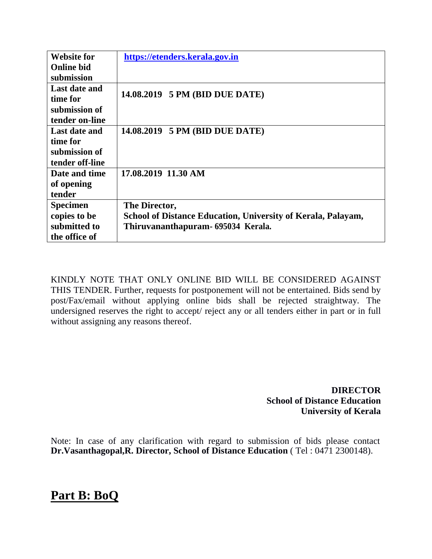| <b>Website for</b> | https://etenders.kerala.gov.in                               |
|--------------------|--------------------------------------------------------------|
| <b>Online bid</b>  |                                                              |
| submission         |                                                              |
| Last date and      |                                                              |
| time for           | 14.08.2019 5 PM (BID DUE DATE)                               |
| submission of      |                                                              |
| tender on-line     |                                                              |
| Last date and      | 14.08.2019 5 PM (BID DUE DATE)                               |
| time for           |                                                              |
| submission of      |                                                              |
| tender off-line    |                                                              |
| Date and time      | 17.08.2019 11.30 AM                                          |
| of opening         |                                                              |
| tender             |                                                              |
| <b>Specimen</b>    | The Director,                                                |
| copies to be       | School of Distance Education, University of Kerala, Palayam, |
| submitted to       | Thiruvananthapuram- 695034 Kerala.                           |
| the office of      |                                                              |

KINDLY NOTE THAT ONLY ONLINE BID WILL BE CONSIDERED AGAINST THIS TENDER. Further, requests for postponement will not be entertained. Bids send by post/Fax/email without applying online bids shall be rejected straightway. The undersigned reserves the right to accept/ reject any or all tenders either in part or in full without assigning any reasons thereof.

> **DIRECTOR School of Distance Education University of Kerala**

Note: In case of any clarification with regard to submission of bids please contact **Dr.Vasanthagopal,R. Director, School of Distance Education** ( Tel : 0471 2300148).

### **Part B: BoQ**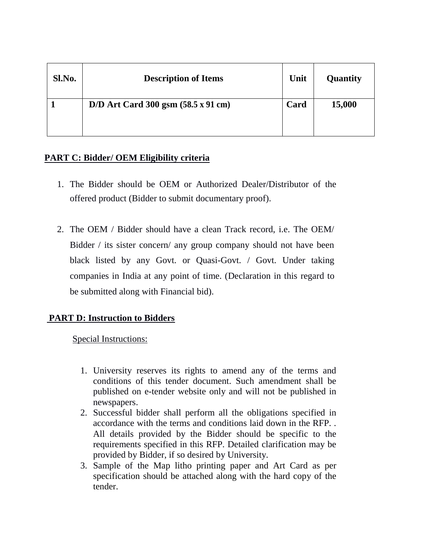| Sl.No. | <b>Description of Items</b>                          | Unit | <b>Quantity</b> |
|--------|------------------------------------------------------|------|-----------------|
|        | $D/D$ Art Card 300 gsm $(58.5 \times 91 \text{ cm})$ | Card | 15,000          |

#### **PART C: Bidder/ OEM Eligibility criteria**

- 1. The Bidder should be OEM or Authorized Dealer/Distributor of the offered product (Bidder to submit documentary proof).
- 2. The OEM / Bidder should have a clean Track record, i.e. The OEM/ Bidder / its sister concern/ any group company should not have been black listed by any Govt. or Quasi-Govt. / Govt. Under taking companies in India at any point of time. (Declaration in this regard to be submitted along with Financial bid).

### **PART D: Instruction to Bidders**

Special Instructions:

- 1. University reserves its rights to amend any of the terms and conditions of this tender document. Such amendment shall be published on e-tender website only and will not be published in newspapers.
- 2. Successful bidder shall perform all the obligations specified in accordance with the terms and conditions laid down in the RFP. . All details provided by the Bidder should be specific to the requirements specified in this RFP. Detailed clarification may be provided by Bidder, if so desired by University.
- 3. Sample of the Map litho printing paper and Art Card as per specification should be attached along with the hard copy of the tender.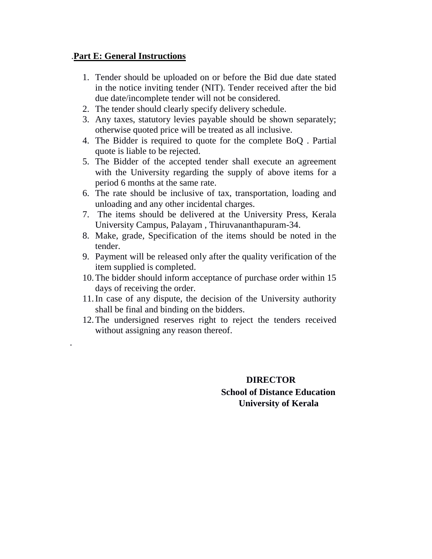#### .**Part E: General Instructions**

.

- 1. Tender should be uploaded on or before the Bid due date stated in the notice inviting tender (NIT). Tender received after the bid due date/incomplete tender will not be considered.
- 2. The tender should clearly specify delivery schedule.
- 3. Any taxes, statutory levies payable should be shown separately; otherwise quoted price will be treated as all inclusive.
- 4. The Bidder is required to quote for the complete BoQ . Partial quote is liable to be rejected.
- 5. The Bidder of the accepted tender shall execute an agreement with the University regarding the supply of above items for a period 6 months at the same rate.
- 6. The rate should be inclusive of tax, transportation, loading and unloading and any other incidental charges.
- 7. The items should be delivered at the University Press, Kerala University Campus, Palayam , Thiruvananthapuram-34.
- 8. Make, grade, Specification of the items should be noted in the tender.
- 9. Payment will be released only after the quality verification of the item supplied is completed.
- 10.The bidder should inform acceptance of purchase order within 15 days of receiving the order.
- 11.In case of any dispute, the decision of the University authority shall be final and binding on the bidders.
- 12.The undersigned reserves right to reject the tenders received without assigning any reason thereof.

### **DIRECTOR School of Distance Education University of Kerala**